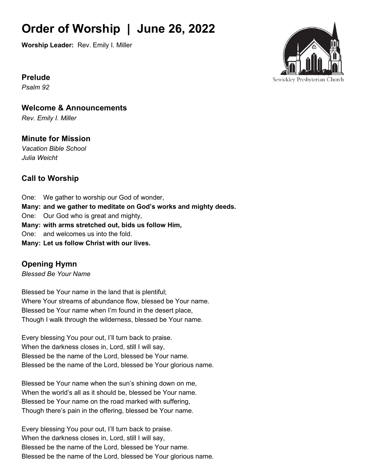# **Order of Worship | June 26, 2022**

**Worship Leader:** Rev. Emily I. Miller



**Prelude**

*Psalm 92*

**Welcome & Announcements** *Rev. Emily I. Miller*

**Minute for Mission** *Vacation Bible School Julia Weicht*

# **Call to Worship**

One: We gather to worship our God of wonder, **Many: and we gather to meditate on God's works and mighty deeds.** One: Our God who is great and mighty, **Many: with arms stretched out, bids us follow Him,** One: and welcomes us into the fold. **Many: Let us follow Christ with our lives.**

# **Opening Hymn**

*Blessed Be Your Name*

Blessed be Your name in the land that is plentiful; Where Your streams of abundance flow, blessed be Your name. Blessed be Your name when I'm found in the desert place, Though I walk through the wilderness, blessed be Your name.

Every blessing You pour out, I'll turn back to praise. When the darkness closes in, Lord, still I will say, Blessed be the name of the Lord, blessed be Your name. Blessed be the name of the Lord, blessed be Your glorious name.

Blessed be Your name when the sun's shining down on me, When the world's all as it should be, blessed be Your name. Blessed be Your name on the road marked with suffering, Though there's pain in the offering, blessed be Your name.

Every blessing You pour out, I'll turn back to praise. When the darkness closes in, Lord, still I will say, Blessed be the name of the Lord, blessed be Your name. Blessed be the name of the Lord, blessed be Your glorious name.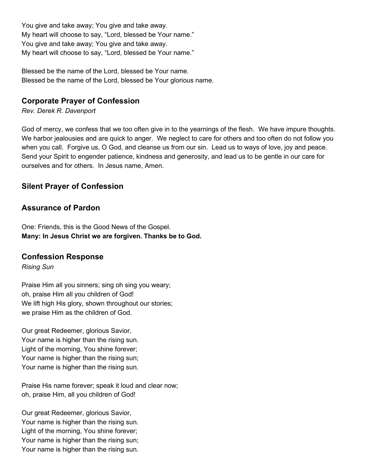You give and take away; You give and take away. My heart will choose to say, "Lord, blessed be Your name." You give and take away; You give and take away. My heart will choose to say, "Lord, blessed be Your name."

Blessed be the name of the Lord, blessed be Your name. Blessed be the name of the Lord, blessed be Your glorious name.

### **Corporate Prayer of Confession**

*Rev. Derek R. Davenport*

God of mercy, we confess that we too often give in to the yearnings of the flesh. We have impure thoughts. We harbor jealousies and are quick to anger. We neglect to care for others and too often do not follow you when you call. Forgive us, O God, and cleanse us from our sin. Lead us to ways of love, joy and peace. Send your Spirit to engender patience, kindness and generosity, and lead us to be gentle in our care for ourselves and for others. In Jesus name, Amen.

# **Silent Prayer of Confession**

# **Assurance of Pardon**

One: Friends, this is the Good News of the Gospel. **Many: In Jesus Christ we are forgiven. Thanks be to God.**

### **Confession Response**

*Rising Sun*

Praise Him all you sinners; sing oh sing you weary; oh, praise Him all you children of God! We lift high His glory, shown throughout our stories; we praise Him as the children of God.

Our great Redeemer, glorious Savior, Your name is higher than the rising sun. Light of the morning, You shine forever; Your name is higher than the rising sun; Your name is higher than the rising sun.

Praise His name forever; speak it loud and clear now; oh, praise Him, all you children of God!

Our great Redeemer, glorious Savior, Your name is higher than the rising sun. Light of the morning, You shine forever; Your name is higher than the rising sun; Your name is higher than the rising sun.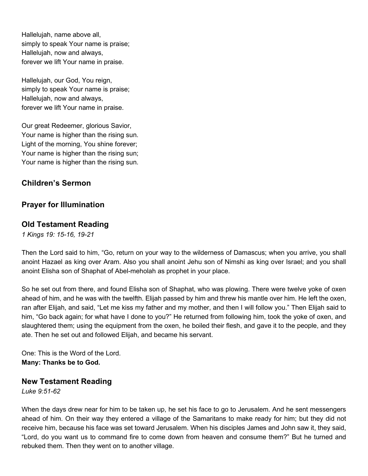Hallelujah, name above all, simply to speak Your name is praise; Hallelujah, now and always, forever we lift Your name in praise.

Hallelujah, our God, You reign, simply to speak Your name is praise; Hallelujah, now and always, forever we lift Your name in praise.

Our great Redeemer, glorious Savior, Your name is higher than the rising sun. Light of the morning, You shine forever; Your name is higher than the rising sun; Your name is higher than the rising sun.

# **Children's Sermon**

# **Prayer for Illumination**

### **Old Testament Reading**

*1 Kings 19: 15-16, 19-21*

Then the Lord said to him, "Go, return on your way to the wilderness of Damascus; when you arrive, you shall anoint Hazael as king over Aram. Also you shall anoint Jehu son of Nimshi as king over Israel; and you shall anoint Elisha son of Shaphat of Abel-meholah as prophet in your place.

So he set out from there, and found Elisha son of Shaphat, who was plowing. There were twelve yoke of oxen ahead of him, and he was with the twelfth. Elijah passed by him and threw his mantle over him. He left the oxen, ran after Elijah, and said, "Let me kiss my father and my mother, and then I will follow you." Then Elijah said to him, "Go back again; for what have I done to you?" He returned from following him, took the yoke of oxen, and slaughtered them; using the equipment from the oxen, he boiled their flesh, and gave it to the people, and they ate. Then he set out and followed Elijah, and became his servant.

One: This is the Word of the Lord. **Many: Thanks be to God.**

### **New Testament Reading**

*Luke 9:51-62*

When the days drew near for him to be taken up, he set his face to go to Jerusalem. And he sent messengers ahead of him. On their way they entered a village of the Samaritans to make ready for him; but they did not receive him, because his face was set toward Jerusalem. When his disciples James and John saw it, they said, "Lord, do you want us to command fire to come down from heaven and consume them?" But he turned and rebuked them. Then they went on to another village.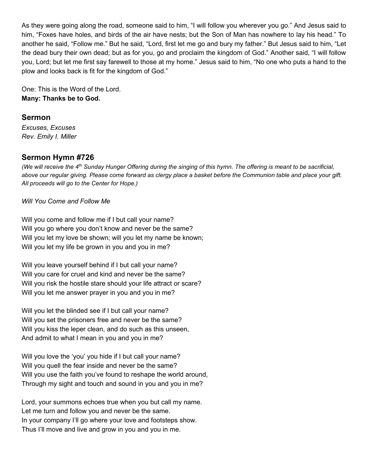As they were going along the road, someone said to him, "I will follow you wherever you go." And Jesus said to him, "Foxes have holes, and birds of the air have nests; but the Son of Man has nowhere to lay his head." To another he said, "Follow me." But he said, "Lord, first let me go and bury my father." But Jesus said to him, "Let the dead bury their own dead; but as for you, go and proclaim the kingdom of God." Another said, "I will follow you, Lord; but let me first say farewell to those at my home." Jesus said to him, "No one who puts a hand to the plow and looks back is fit for the kingdom of God."

One: This is the Word of the Lord. **Many: Thanks be to God.**

### **Sermon**

*Excuses, Excuses Rev. Emily I. Miller*

### **Sermon Hymn #726**

*(We will receive the 4th Sunday Hunger Offering during the singing of this hymn. The offering is meant to be sacrificial, above our regular giving. Please come forward as clergy place a basket before the Communion table and place your gift. All proceeds will go to the Center for Hope.)*

### *Will You Come and Follow Me*

Will you come and follow me if I but call your name? Will you go where you don't know and never be the same? Will you let my love be shown; will you let my name be known; Will you let my life be grown in you and you in me?

Will you leave yourself behind if I but call your name? Will you care for cruel and kind and never be the same? Will you risk the hostile stare should your life attract or scare? Will you let me answer prayer in you and you in me?

Will you let the blinded see if I but call your name? Will you set the prisoners free and never be the same? Will you kiss the leper clean, and do such as this unseen, And admit to what I mean in you and you in me?

Will you love the 'you' you hide if I but call your name? Will you quell the fear inside and never be the same? Will you use the faith you've found to reshape the world around, Through my sight and touch and sound in you and you in me?

Lord, your summons echoes true when you but call my name. Let me turn and follow you and never be the same. In your company I'll go where your love and footsteps show. Thus I'll move and live and grow in you and you in me.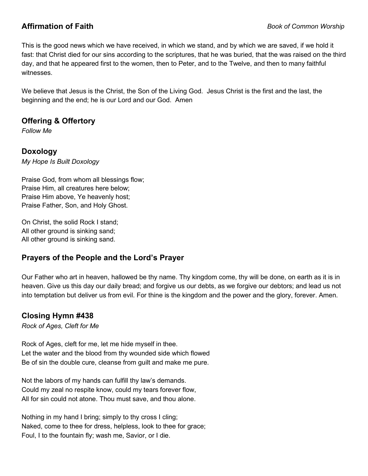This is the good news which we have received, in which we stand, and by which we are saved, if we hold it fast: that Christ died for our sins according to the scriptures, that he was buried, that the was raised on the third day, and that he appeared first to the women, then to Peter, and to the Twelve, and then to many faithful witnesses.

We believe that Jesus is the Christ, the Son of the Living God. Jesus Christ is the first and the last, the beginning and the end; he is our Lord and our God. Amen

# **Offering & Offertory**

*Follow Me*

**Doxology** *My Hope Is Built Doxology* 

Praise God, from whom all blessings flow; Praise Him, all creatures here below; Praise Him above, Ye heavenly host; Praise Father, Son, and Holy Ghost.

On Christ, the solid Rock I stand; All other ground is sinking sand; All other ground is sinking sand.

# **Prayers of the People and the Lord's Prayer**

Our Father who art in heaven, hallowed be thy name. Thy kingdom come, thy will be done, on earth as it is in heaven. Give us this day our daily bread; and forgive us our debts, as we forgive our debtors; and lead us not into temptation but deliver us from evil. For thine is the kingdom and the power and the glory, forever. Amen.

# **Closing Hymn #438**

*Rock of Ages, Cleft for Me*

Rock of Ages, cleft for me, let me hide myself in thee. Let the water and the blood from thy wounded side which flowed Be of sin the double cure, cleanse from guilt and make me pure.

Not the labors of my hands can fulfill thy law's demands. Could my zeal no respite know, could my tears forever flow, All for sin could not atone. Thou must save, and thou alone.

Nothing in my hand I bring; simply to thy cross I cling; Naked, come to thee for dress, helpless, look to thee for grace; Foul, I to the fountain fly; wash me, Savior, or I die.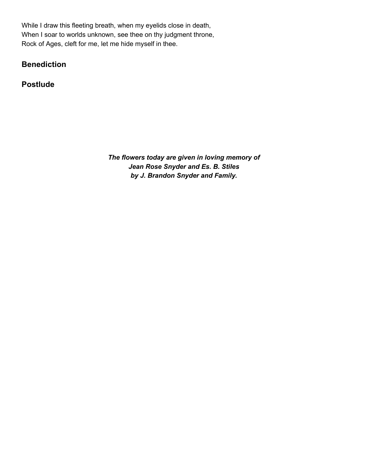While I draw this fleeting breath, when my eyelids close in death, When I soar to worlds unknown, see thee on thy judgment throne, Rock of Ages, cleft for me, let me hide myself in thee.

# **Benediction**

**Postlude**

*The flowers today are given in loving memory of Jean Rose Snyder and Es. B. Stiles by J. Brandon Snyder and Family.*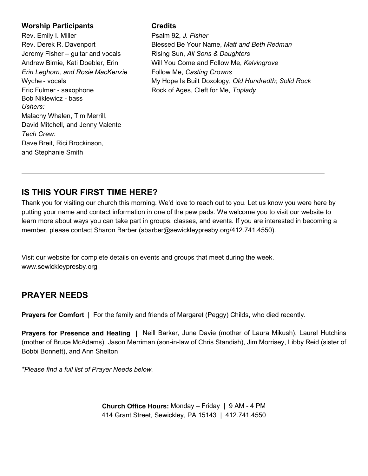### **Worship Participants Credits**

Rev. Emily I. Miller **Passack Emily I. Miller** Psalm 92, *J. Fisher* Jeremy Fisher – guitar and vocals Rising Sun, *All Sons & Daughters Erin Leghorn, and Rosie MacKenzie* Follow Me, *Casting Crowns* Eric Fulmer - saxophone Rock of Ages, Cleft for Me, *Toplady* Bob Niklewicz - bass *Ushers:* Malachy Whalen, Tim Merrill, David Mitchell, and Jenny Valente *Tech Crew:* Dave Breit, Rici Brockinson, and Stephanie Smith

Rev. Derek R. Davenport Blessed Be Your Name, *Matt and Beth Redman* Andrew Birnie, Kati Doebler, Erin Will You Come and Follow Me, *Kelvingrove* Wyche - vocals My Hope Is Built Doxology, *Old Hundredth; Solid Rock*

# **IS THIS YOUR FIRST TIME HERE?**

Thank you for visiting our church this morning. We'd love to reach out to you. Let us know you were here by putting your name and contact information in one of the pew pads. We welcome you to visit our website to learn more about ways you can take part in groups, classes, and events. If you are interested in becoming a member, please contact Sharon Barber (sbarber@sewickleypresby.org/412.741.4550).

Visit our website for complete details on events and groups that meet during the week. www.sewickleypresby.org

# **PRAYER NEEDS**

**Prayers for Comfort** | For the family and friends of Margaret (Peggy) Childs, who died recently.

**Prayers for Presence and Healing |** Neill Barker, June Davie (mother of Laura Mikush), Laurel Hutchins (mother of Bruce McAdams), Jason Merriman (son-in-law of Chris Standish), Jim Morrisey, Libby Reid (sister of Bobbi Bonnett), and Ann Shelton

*\*Please find a full list of Prayer Needs below.*

**Church Office Hours:** Monday – Friday | 9 AM - 4 PM 414 Grant Street, Sewickley, PA 15143 | 412.741.4550